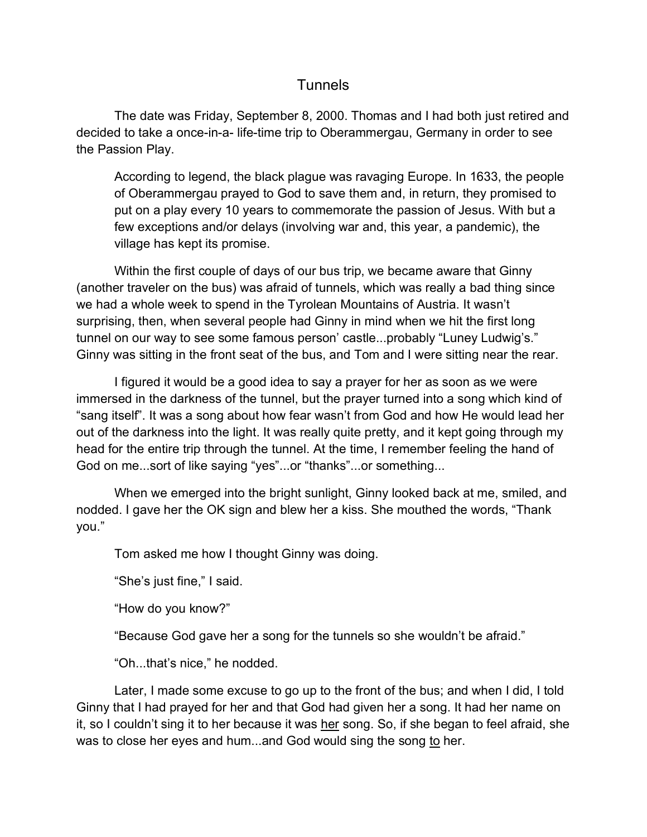## **Tunnels**

The date was Friday, September 8, 2000. Thomas and I had both just retired and decided to take a once-in-a- life-time trip to Oberammergau, Germany in order to see the Passion Play.

According to legend, the black plague was ravaging Europe. In 1633, the people of Oberammergau prayed to God to save them and, in return, they promised to put on a play every 10 years to commemorate the passion of Jesus. With but a few exceptions and/or delays (involving war and, this year, a pandemic), the village has kept its promise.

Within the first couple of days of our bus trip, we became aware that Ginny (another traveler on the bus) was afraid of tunnels, which was really a bad thing since we had a whole week to spend in the Tyrolean Mountains of Austria. It wasn't surprising, then, when several people had Ginny in mind when we hit the first long tunnel on our way to see some famous person' castle...probably "Luney Ludwig's." Ginny was sitting in the front seat of the bus, and Tom and I were sitting near the rear.

I figured it would be a good idea to say a prayer for her as soon as we were immersed in the darkness of the tunnel, but the prayer turned into a song which kind of "sang itself". It was a song about how fear wasn't from God and how He would lead her out of the darkness into the light. It was really quite pretty, and it kept going through my head for the entire trip through the tunnel. At the time, I remember feeling the hand of God on me...sort of like saying "yes"...or "thanks"...or something...

When we emerged into the bright sunlight, Ginny looked back at me, smiled, and nodded. I gave her the OK sign and blew her a kiss. She mouthed the words, "Thank you."

Tom asked me how I thought Ginny was doing.

"She's just fine," I said.

"How do you know?"

"Because God gave her a song for the tunnels so she wouldn't be afraid."

"Oh...that's nice," he nodded.

Later, I made some excuse to go up to the front of the bus; and when I did, I told Ginny that I had prayed for her and that God had given her a song. It had her name on it, so I couldn't sing it to her because it was her song. So, if she began to feel afraid, she was to close her eyes and hum...and God would sing the song to her.